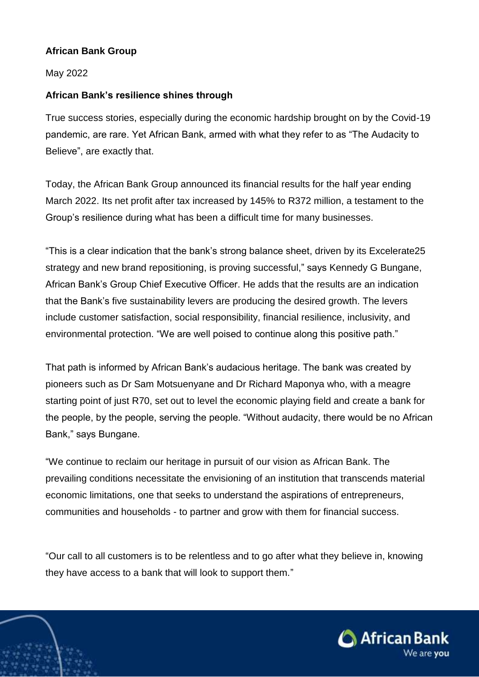## **African Bank Group**

## May 2022

## **African Bank's resilience shines through**

True success stories, especially during the economic hardship brought on by the Covid-19 pandemic, are rare. Yet African Bank, armed with what they refer to as "The Audacity to Believe", are exactly that.

Today, the African Bank Group announced its financial results for the half year ending March 2022. Its net profit after tax increased by 145% to R372 million, a testament to the Group's resilience during what has been a difficult time for many businesses.

"This is a clear indication that the bank's strong balance sheet, driven by its Excelerate25 strategy and new brand repositioning, is proving successful," says Kennedy G Bungane, African Bank's Group Chief Executive Officer. He adds that the results are an indication that the Bank's five sustainability levers are producing the desired growth. The levers include customer satisfaction, social responsibility, financial resilience, inclusivity, and environmental protection. "We are well poised to continue along this positive path."

That path is informed by African Bank's audacious heritage. The bank was created by pioneers such as Dr Sam Motsuenyane and Dr Richard Maponya who, with a meagre starting point of just R70, set out to level the economic playing field and create a bank for the people, by the people, serving the people. "Without audacity, there would be no African Bank," says Bungane.

"We continue to reclaim our heritage in pursuit of our vision as African Bank. The prevailing conditions necessitate the envisioning of an institution that transcends material economic limitations, one that seeks to understand the aspirations of entrepreneurs, communities and households - to partner and grow with them for financial success.

"Our call to all customers is to be relentless and to go after what they believe in, knowing they have access to a bank that will look to support them."

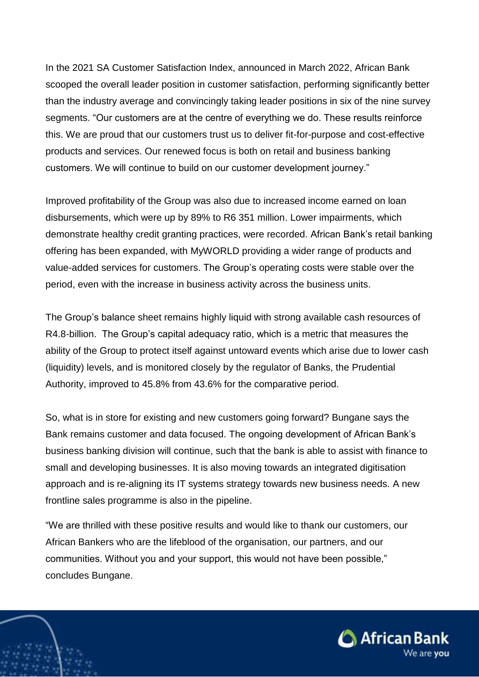In the 2021 SA Customer Satisfaction Index, announced in March 2022, African Bank scooped the overall leader position in customer satisfaction, performing significantly better than the industry average and convincingly taking leader positions in six of the nine survey segments. "Our customers are at the centre of everything we do. These results reinforce this. We are proud that our customers trust us to deliver fit-for-purpose and cost-effective products and services. Our renewed focus is both on retail and business banking customers. We will continue to build on our customer development journey."

Improved profitability of the Group was also due to increased income earned on loan disbursements, which were up by 89% to R6 351 million. Lower impairments, which demonstrate healthy credit granting practices, were recorded. African Bank's retail banking offering has been expanded, with MyWORLD providing a wider range of products and value-added services for customers. The Group's operating costs were stable over the period, even with the increase in business activity across the business units.

The Group's balance sheet remains highly liquid with strong available cash resources of R4.8-billion. The Group's capital adequacy ratio, which is a metric that measures the ability of the Group to protect itself against untoward events which arise due to lower cash (liquidity) levels, and is monitored closely by the regulator of Banks, the Prudential Authority, improved to 45.8% from 43.6% for the comparative period.

So, what is in store for existing and new customers going forward? Bungane says the Bank remains customer and data focused. The ongoing development of African Bank's business banking division will continue, such that the bank is able to assist with finance to small and developing businesses. It is also moving towards an integrated digitisation approach and is re-aligning its IT systems strategy towards new business needs. A new frontline sales programme is also in the pipeline.

"We are thrilled with these positive results and would like to thank our customers, our African Bankers who are the lifeblood of the organisation, our partners, and our communities. Without you and your support, this would not have been possible," concludes Bungane.